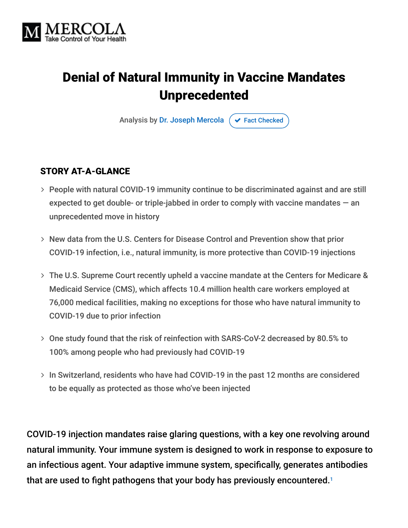

# Denial of Natural Immunity in Vaccine Mandates Unprecedented

Analysis by [Dr. Joseph Mercola](https://www.mercola.com/forms/background.htm)  $\sigma$  [Fact Checked](javascript:void(0))

#### STORY AT-A-GLANCE

- People with natural COVID-19 immunity continue to be discriminated against and are still expected to get double- or triple-jabbed in order to comply with vaccine mandates  $-$  an unprecedented move in history
- New data from the U.S. Centers for Disease Control and Prevention show that prior COVID-19 infection, i.e., natural immunity, is more protective than COVID-19 injections
- The U.S. Supreme Court recently upheld a vaccine mandate at the Centers for Medicare & Medicaid Service (CMS), which affects 10.4 million health care workers employed at 76,000 medical facilities, making no exceptions for those who have natural immunity to COVID-19 due to prior infection
- One study found that the risk of reinfection with SARS-CoV-2 decreased by 80.5% to 100% among people who had previously had COVID-19
- > In Switzerland, residents who have had COVID-19 in the past 12 months are considered to be equally as protected as those who've been injected

COVID-19 injection mandates raise glaring questions, with a key one revolving around natural immunity. Your immune system is designed to work in response to exposure to an infectious agent. Your adaptive immune system, specifically, generates antibodies that are used to fight pathogens that your body has previously encountered. 1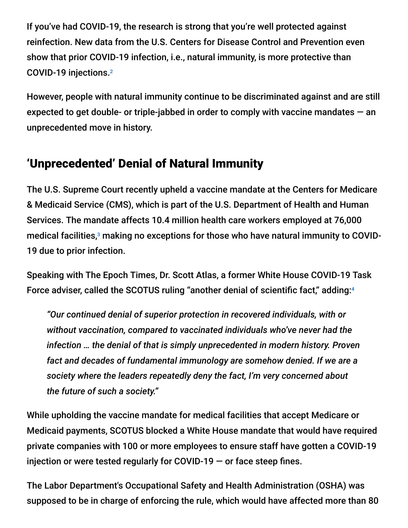If you've had COVID-19, the research is strong that you're well protected against reinfection. New data from the U.S. Centers for Disease Control and Prevention even show that prior COVID-19 infection, i.e., natural immunity, is more protective than COVID-19 injections. 2

However, people with natural immunity continue to be discriminated against and are still expected to get double- or triple-jabbed in order to comply with vaccine mandates  $-$  an unprecedented move in history.

## 'Unprecedented' Denial of Natural Immunity

The U.S. Supreme Court recently upheld a vaccine mandate at the Centers for Medicare & Medicaid Service (CMS), which is part of the U.S. Department of Health and Human Services. The mandate affects 10.4 million health care workers employed at 76,000 medical facilities, $^{\rm 3}$  making no exceptions for those who have natural immunity to COVID-19 due to prior infection.

Speaking with The Epoch Times, Dr. Scott Atlas, a former White House COVID-19 Task Force adviser, called the SCOTUS ruling "another denial of scientific fact," adding:<sup>4</sup>

*"Our continued denial of superior protection in recovered individuals, with or without vaccination, compared to vaccinated individuals who've never had the infection … the denial of that is simply unprecedented in modern history. Proven fact and decades of fundamental immunology are somehow denied. If we are a society where the leaders repeatedly deny the fact, I'm very concerned about the future of such a society."*

While upholding the vaccine mandate for medical facilities that accept Medicare or Medicaid payments, SCOTUS blocked a White House mandate that would have required private companies with 100 or more employees to ensure staff have gotten a COVID-19 injection or were tested regularly for COVID-19 — or face steep fines.

The Labor Department's Occupational Safety and Health Administration (OSHA) was supposed to be in charge of enforcing the rule, which would have affected more than 80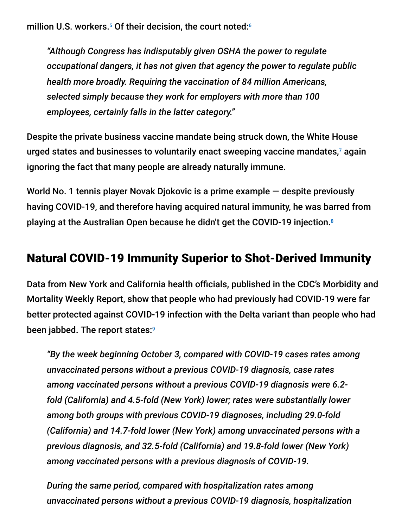million U.S. workers. $^5$  Of their decision, the court noted: $^6$ 

*"Although Congress has indisputably given OSHA the power to regulate occupational dangers, it has not given that agency the power to regulate public health more broadly. Requiring the vaccination of 84 million Americans, selected simply because they work for employers with more than 100 employees, certainly falls in the latter category."*

Despite the private business vaccine mandate being struck down, the White House urged states and businesses to voluntarily enact sweeping vaccine mandates,<sup>7</sup> again ignoring the fact that many people are already naturally immune.

World No. 1 tennis player Novak Djokovic is a prime example — despite previously having COVID-19, and therefore having acquired natural immunity, he was barred from playing at the Australian Open because he didn't get the COVID-19 injection. 8

### Natural COVID-19 Immunity Superior to Shot-Derived Immunity

Data from New York and California health officials, published in the CDC's Morbidity and Mortality Weekly Report, show that people who had previously had COVID-19 were far better protected against COVID-19 infection with the Delta variant than people who had been jabbed. The report states: 9

*"By the week beginning October 3, compared with COVID-19 cases rates among unvaccinated persons without a previous COVID-19 diagnosis, case rates among vaccinated persons without a previous COVID-19 diagnosis were 6.2 fold (California) and 4.5-fold (New York) lower; rates were substantially lower among both groups with previous COVID-19 diagnoses, including 29.0-fold (California) and 14.7-fold lower (New York) among unvaccinated persons with a previous diagnosis, and 32.5-fold (California) and 19.8-fold lower (New York) among vaccinated persons with a previous diagnosis of COVID-19.*

*During the same period, compared with hospitalization rates among unvaccinated persons without a previous COVID-19 diagnosis, hospitalization*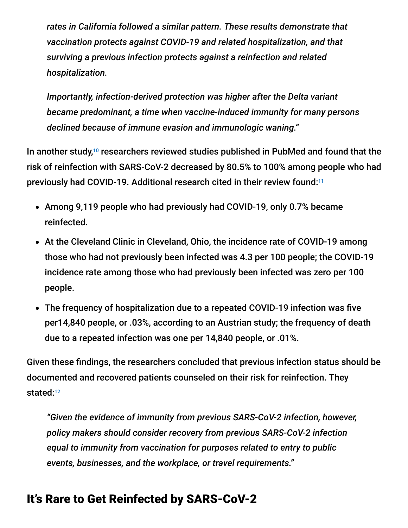*rates in California followed a similar pattern. These results demonstrate that vaccination protects against COVID-19 and related hospitalization, and that surviving a previous infection protects against a reinfection and related hospitalization.*

*Importantly, infection-derived protection was higher after the Delta variant became predominant, a time when vaccine-induced immunity for many persons declined because of immune evasion and immunologic waning."*

In another study,<sup>10</sup> researchers reviewed studies published in PubMed and found that the risk of reinfection with SARS-CoV-2 decreased by 80.5% to 100% among people who had previously had COVID-19. Additional research cited in their review found:<sup>11</sup>

- Among 9,119 people who had previously had COVID-19, only 0.7% became reinfected.
- At the Cleveland Clinic in Cleveland, Ohio, the incidence rate of COVID-19 among those who had not previously been infected was 4.3 per 100 people; the COVID-19 incidence rate among those who had previously been infected was zero per 100 people.
- The frequency of hospitalization due to a repeated COVID-19 infection was five per14,840 people, or .03%, according to an Austrian study; the frequency of death due to a repeated infection was one per 14,840 people, or .01%.

Given these findings, the researchers concluded that previous infection status should be documented and recovered patients counseled on their risk for reinfection. They stated: 12

*"Given the evidence of immunity from previous SARS-CoV-2 infection, however, policy makers should consider recovery from previous SARS-CoV-2 infection equal to immunity from vaccination for purposes related to entry to public events, businesses, and the workplace, or travel requirements."*

### It's Rare to Get Reinfected by SARS-CoV-2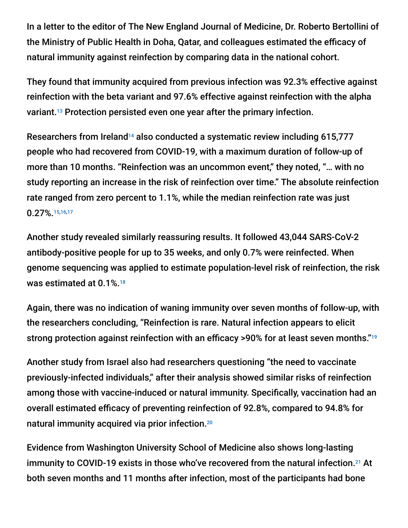In a letter to the editor of The New England Journal of Medicine, Dr. Roberto Bertollini of the Ministry of Public Health in Doha, Qatar, and colleagues estimated the efficacy of natural immunity against reinfection by comparing data in the national cohort.

They found that immunity acquired from previous infection was 92.3% effective against reinfection with the beta variant and 97.6% effective against reinfection with the alpha variant.<sup>13</sup> Protection persisted even one year after the primary infection.

Researchers from Ireland<sup>14</sup> also conducted a systematic review including 615,777 people who had recovered from COVID-19, with a maximum duration of follow-up of more than 10 months. "Reinfection was an uncommon event," they noted, "… with no study reporting an increase in the risk of reinfection over time." The absolute reinfection rate ranged from zero percent to 1.1%, while the median reinfection rate was just 0.27%. 15,16,17

Another study revealed similarly reassuring results. It followed 43,044 SARS-CoV-2 antibody-positive people for up to 35 weeks, and only 0.7% were reinfected. When genome sequencing was applied to estimate population-level risk of reinfection, the risk was estimated at 0.1%. 18

Again, there was no indication of waning immunity over seven months of follow-up, with the researchers concluding, "Reinfection is rare. Natural infection appears to elicit strong protection against reinfection with an efficacy >90% for at least seven months." 19

Another study from Israel also had researchers questioning "the need to vaccinate previously-infected individuals," after their analysis showed similar risks of reinfection among those with vaccine-induced or natural immunity. Specifically, vaccination had an overall estimated efficacy of preventing reinfection of 92.8%, compared to 94.8% for natural immunity acquired via prior infection. 20

Evidence from Washington University School of Medicine also shows long-lasting immunity to COVID-19 exists in those who've recovered from the natural infection.<sup>21</sup> At both seven months and 11 months after infection, most of the participants had bone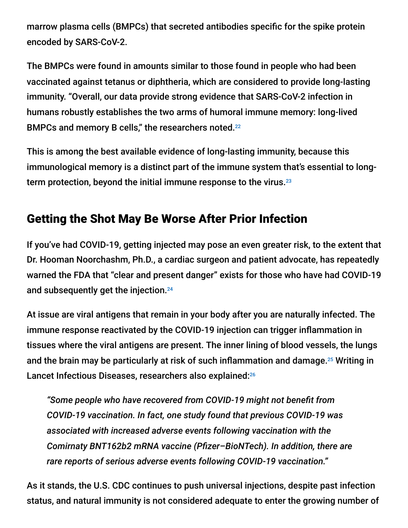marrow plasma cells (BMPCs) that secreted antibodies specific for the spike protein encoded by SARS-CoV-2.

The BMPCs were found in amounts similar to those found in people who had been vaccinated against tetanus or diphtheria, which are considered to provide long-lasting immunity. "Overall, our data provide strong evidence that SARS-CoV-2 infection in humans robustly establishes the two arms of humoral immune memory: long-lived BMPCs and memory B cells," the researchers noted.<sup>22</sup>

This is among the best available evidence of long-lasting immunity, because this immunological memory is a distinct part of the immune system that's essential to longterm protection, beyond the initial immune response to the virus. 23

## Getting the Shot May Be Worse After Prior Infection

If you've had COVID-19, getting injected may pose an even greater risk, to the extent that Dr. Hooman Noorchashm, Ph.D., a cardiac surgeon and patient advocate, has repeatedly warned the FDA that "clear and present danger" exists for those who have had COVID-19 and subsequently get the injection. 24

At issue are viral antigens that remain in your body after you are naturally infected. The immune response reactivated by the COVID-19 injection can trigger inflammation in tissues where the viral antigens are present. The inner lining of blood vessels, the lungs and the brain may be particularly at risk of such inflammation and damage. $25$  Writing in Lancet Infectious Diseases, researchers also explained:<sup>26</sup>

*"Some people who have recovered from COVID-19 might not benefit from COVID-19 vaccination. In fact, one study found that previous COVID-19 was associated with increased adverse events following vaccination with the Comirnaty BNT162b2 mRNA vaccine (Pfizer–BioNTech). In addition, there are rare reports of serious adverse events following COVID-19 vaccination."*

As it stands, the U.S. CDC continues to push universal injections, despite past infection status, and natural immunity is not considered adequate to enter the growing number of